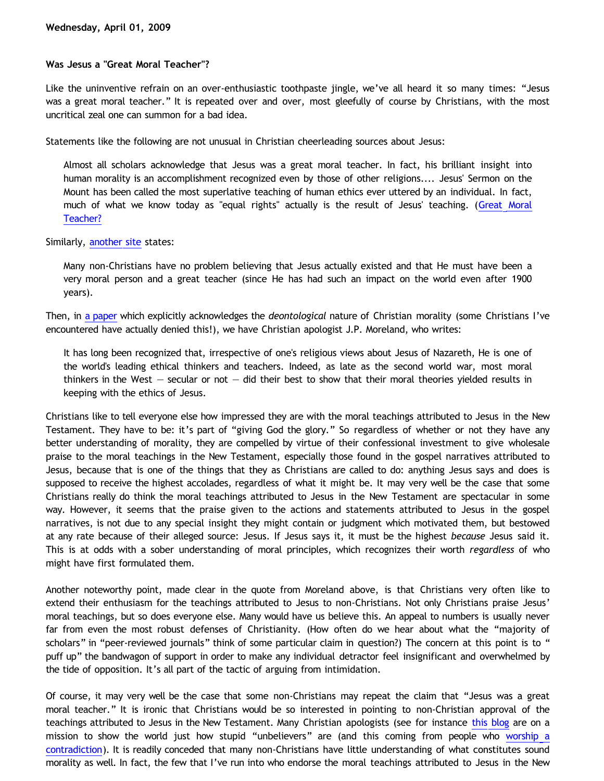## **Was Jesus a "Great Moral Teacher"?**

Like the uninventive refrain on an over-enthusiastic toothpaste jingle, we've all heard it so many times: "Jesus was a great moral teacher." It is repeated over and over, most gleefully of course by Christians, with the most uncritical zeal one can summon for a bad idea.

Statements like the following are not unusual in Christian cheerleading sources about Jesus:

Almost all scholars acknowledge that Jesus was a great moral teacher. In fact, his brilliant insight into human morality is an accomplishment recognized even by those of other religions.... Jesus' Sermon on the Mount has been called the most superlative teaching of human ethics ever uttered by an individual. In fact, much of what we know today as "equal rights" actually is the result of Jesus' teaching. ([Great Moral](http://www.jesusmystery.com/article.php?sec=3&arc=2) [Teacher?](http://www.jesusmystery.com/article.php?sec=3&arc=2)

Similarly, [another site](http://www.layhands.com/WasJesusJustAGreatTeacher.htm) states:

Many non-Christians have no problem believing that Jesus actually existed and that He must have been a very moral person and a great teacher (since He has had such an impact on the world even after 1900 years).

Then, in [a paper](http://www.trueu.org/Academics/LectureHall/A000000761.cfm) which explicitly acknowledges the *deontological* nature of Christian morality (some Christians I've encountered have actually denied this!), we have Christian apologist J.P. Moreland, who writes:

It has long been recognized that, irrespective of one's religious views about Jesus of Nazareth, He is one of the world's leading ethical thinkers and teachers. Indeed, as late as the second world war, most moral thinkers in the West  $-$  secular or not  $-$  did their best to show that their moral theories yielded results in keeping with the ethics of Jesus.

Christians like to tell everyone else how impressed they are with the moral teachings attributed to Jesus in the New Testament. They have to be: it's part of "giving God the glory." So regardless of whether or not they have any better understanding of morality, they are compelled by virtue of their confessional investment to give wholesale praise to the moral teachings in the New Testament, especially those found in the gospel narratives attributed to Jesus, because that is one of the things that they as Christians are called to do: anything Jesus says and does is supposed to receive the highest accolades, regardless of what it might be. It may very well be the case that some Christians really do think the moral teachings attributed to Jesus in the New Testament are spectacular in some way. However, it seems that the praise given to the actions and statements attributed to Jesus in the gospel narratives, is not due to any special insight they might contain or judgment which motivated them, but bestowed at any rate because of their alleged source: Jesus. If Jesus says it, it must be the highest *because* Jesus said it. This is at odds with a sober understanding of moral principles, which recognizes their worth *regardless* of who might have first formulated them.

Another noteworthy point, made clear in the quote from Moreland above, is that Christians very often like to extend their enthusiasm for the teachings attributed to Jesus to non-Christians. Not only Christians praise Jesus' moral teachings, but so does everyone else. Many would have us believe this. An appeal to numbers is usually never far from even the most robust defenses of Christianity. (How often do we hear about what the "majority of scholars" in "peer-reviewed journals" think of some particular claim in question?) The concern at this point is to " puff up" the bandwagon of support in order to make any individual detractor feel insignificant and overwhelmed by the tide of opposition. It's all part of the tactic of arguing from intimidation.

Of course, it may very well be the case that some non-Christians may repeat the claim that "Jesus was a great moral teacher." It is ironic that Christians would be so interested in pointing to non-Christian approval of the teachings attributed to Jesus in the New Testament. Many Christian apologists (see for instance [this blog](http://triablogue.blogspot.com/) are on a mission to show the world just how stupid "unbelievers" are (and this coming from people who [worship a](http://bahnsenburner.blogspot.com/2005/08/christianity-as-worship-of-self.html) [contradiction](http://bahnsenburner.blogspot.com/2005/08/christianity-as-worship-of-self.html)). It is readily conceded that many non-Christians have little understanding of what constitutes sound morality as well. In fact, the few that I've run into who endorse the moral teachings attributed to Jesus in the New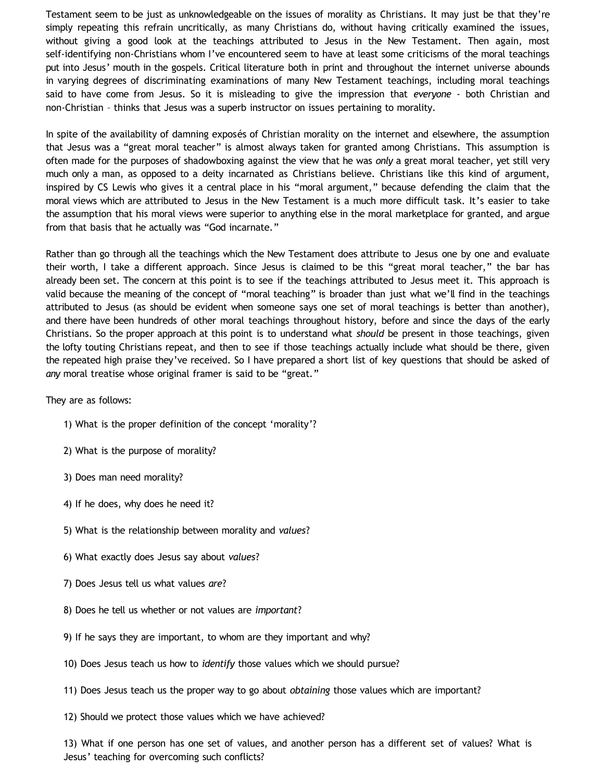Testament seem to be just as unknowledgeable on the issues of morality as Christians. It may just be that they're simply repeating this refrain uncritically, as many Christians do, without having critically examined the issues, without giving a good look at the teachings attributed to Jesus in the New Testament. Then again, most self-identifying non-Christians whom I've encountered seem to have at least some criticisms of the moral teachings put into Jesus' mouth in the gospels. Critical literature both in print and throughout the internet universe abounds in varying degrees of discriminating examinations of many New Testament teachings, including moral teachings said to have come from Jesus. So it is misleading to give the impression that *everyone* - both Christian and non-Christian – thinks that Jesus was a superb instructor on issues pertaining to morality.

In spite of the availability of damning exposés of Christian morality on the internet and elsewhere, the assumption that Jesus was a "great moral teacher" is almost always taken for granted among Christians. This assumption is often made for the purposes of shadowboxing against the view that he was *only* a great moral teacher, yet still very much only a man, as opposed to a deity incarnated as Christians believe. Christians like this kind of argument, inspired by CS Lewis who gives it a central place in his "moral argument," because defending the claim that the moral views which are attributed to Jesus in the New Testament is a much more difficult task. It's easier to take the assumption that his moral views were superior to anything else in the moral marketplace for granted, and argue from that basis that he actually was "God incarnate."

Rather than go through all the teachings which the New Testament does attribute to Jesus one by one and evaluate their worth, I take a different approach. Since Jesus is claimed to be this "great moral teacher," the bar has already been set. The concern at this point is to see if the teachings attributed to Jesus meet it. This approach is valid because the meaning of the concept of "moral teaching" is broader than just what we'll find in the teachings attributed to Jesus (as should be evident when someone says one set of moral teachings is better than another), and there have been hundreds of other moral teachings throughout history, before and since the days of the early Christians. So the proper approach at this point is to understand what *should* be present in those teachings, given the lofty touting Christians repeat, and then to see if those teachings actually include what should be there, given the repeated high praise they've received. So I have prepared a short list of key questions that should be asked of *any* moral treatise whose original framer is said to be "great."

They are as follows:

- 1) What is the proper definition of the concept 'morality'?
- 2) What is the purpose of morality?
- 3) Does man need morality?
- 4) If he does, why does he need it?
- 5) What is the relationship between morality and *values*?
- 6) What exactly does Jesus say about *values*?
- 7) Does Jesus tell us what values *are*?
- 8) Does he tell us whether or not values are *important*?
- 9) If he says they are important, to whom are they important and why?
- 10) Does Jesus teach us how to *identify* those values which we should pursue?
- 11) Does Jesus teach us the proper way to go about *obtaining* those values which are important?
- 12) Should we protect those values which we have achieved?

13) What if one person has one set of values, and another person has a different set of values? What is Jesus' teaching for overcoming such conflicts?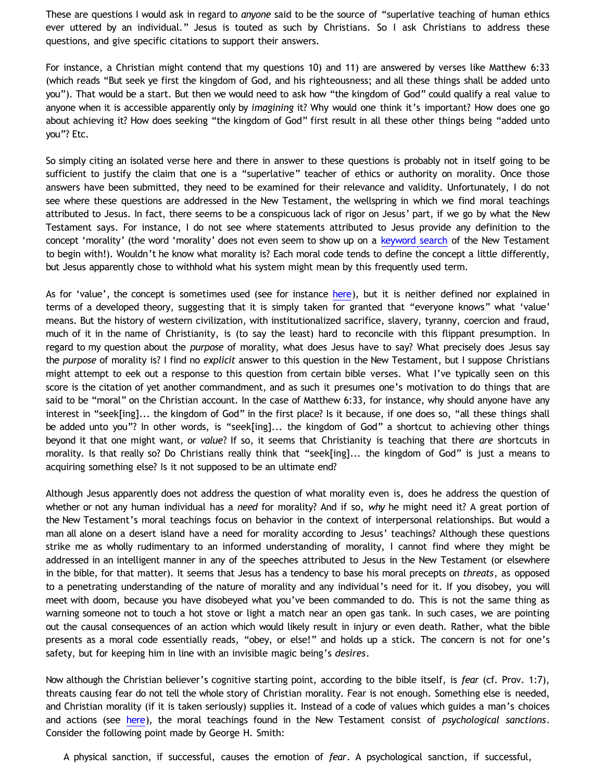These are questions I would ask in regard to *anyone* said to be the source of "superlative teaching of human ethics ever uttered by an individual." Jesus is touted as such by Christians. So I ask Christians to address these questions, and give specific citations to support their answers.

For instance, a Christian might contend that my questions 10) and 11) are answered by verses like Matthew 6:33 (which reads "But seek ye first the kingdom of God, and his righteousness; and all these things shall be added unto you"). That would be a start. But then we would need to ask how "the kingdom of God" could qualify a real value to anyone when it is accessible apparently only by *imagining* it? Why would one think it's important? How does one go about achieving it? How does seeking "the kingdom of God" first result in all these other things being "added unto you"? Etc.

So simply citing an isolated verse here and there in answer to these questions is probably not in itself going to be sufficient to justify the claim that one is a "superlative" teacher of ethics or authority on morality. Once those answers have been submitted, they need to be examined for their relevance and validity. Unfortunately, I do not see where these questions are addressed in the New Testament, the wellspring in which we find moral teachings attributed to Jesus. In fact, there seems to be a conspicuous lack of rigor on Jesus' part, if we go by what the New Testament says. For instance, I do not see where statements attributed to Jesus provide any definition to the concept 'morality' (the word 'morality' does not even seem to show up on a [keyword search](http://www.biblegateway.com/keyword/?search=morality&version1=9&version2=31&version3=49&version4=51&version5=72&searchtype=all&bookset=2&limit=bookset) of the New Testament to begin with!). Wouldn't he know what morality is? Each moral code tends to define the concept a little differently, but Jesus apparently chose to withhold what his system might mean by this frequently used term.

As for 'value', the concept is sometimes used (see for instance [here](http://www.biblegateway.com/keyword/?search=value&version1=9&version2=31&version3=49&version4=51&version5=72&searchtype=all&bookset=2&limit=bookset)), but it is neither defined nor explained in terms of a developed theory, suggesting that it is simply taken for granted that "everyone knows" what 'value' means. But the history of western civilization, with institutionalized sacrifice, slavery, tyranny, coercion and fraud, much of it in the name of Christianity, is (to say the least) hard to reconcile with this flippant presumption. In regard to my question about the *purpose* of morality, what does Jesus have to say? What precisely does Jesus say the *purpose* of morality is? I find no *explicit* answer to this question in the New Testament, but I suppose Christians might attempt to eek out a response to this question from certain bible verses. What I've typically seen on this score is the citation of yet another commandment, and as such it presumes one's motivation to do things that are said to be "moral" on the Christian account. In the case of Matthew 6:33, for instance, why should anyone have any interest in "seek[ing]... the kingdom of God" in the first place? Is it because, if one does so, "all these things shall be added unto you"? In other words, is "seek[ing]... the kingdom of God" a shortcut to achieving other things beyond it that one might want, or *value*? If so, it seems that Christianity is teaching that there *are* shortcuts in morality. Is that really so? Do Christians really think that "seek[ing]... the kingdom of God" is just a means to acquiring something else? Is it not supposed to be an ultimate end?

Although Jesus apparently does not address the question of what morality even is, does he address the question of whether or not any human individual has a *need* for morality? And if so, *why* he might need it? A great portion of the New Testament's moral teachings focus on behavior in the context of interpersonal relationships. But would a man all alone on a desert island have a need for morality according to Jesus' teachings? Although these questions strike me as wholly rudimentary to an informed understanding of morality, I cannot find where they might be addressed in an intelligent manner in any of the speeches attributed to Jesus in the New Testament (or elsewhere in the bible, for that matter). It seems that Jesus has a tendency to base his moral precepts on *threats*, as opposed to a penetrating understanding of the nature of morality and any individual's need for it. If you disobey, you will meet with doom, because you have disobeyed what you've been commanded to do. This is not the same thing as warning someone not to touch a hot stove or light a match near an open gas tank. In such cases, we are pointing out the causal consequences of an action which would likely result in injury or even death. Rather, what the bible presents as a moral code essentially reads, "obey, or else!" and holds up a stick. The concern is not for one's safety, but for keeping him in line with an invisible magic being's *desires*.

Now although the Christian believer's cognitive starting point, according to the bible itself, is *fear* (cf. Prov. 1:7), threats causing fear do not tell the whole story of Christian morality. Fear is not enough. Something else is needed, and Christian morality (if it is taken seriously) supplies it. Instead of a code of values which guides a man's choices and actions (see [here\)](http://bahnsenburner.blogspot.com/2005/04/do-i-borrow-my-morality-from-christian.html), the moral teachings found in the New Testament consist of *psychological sanctions*. Consider the following point made by George H. Smith:

A physical sanction, if successful, causes the emotion of *fear*. A psychological sanction, if successful,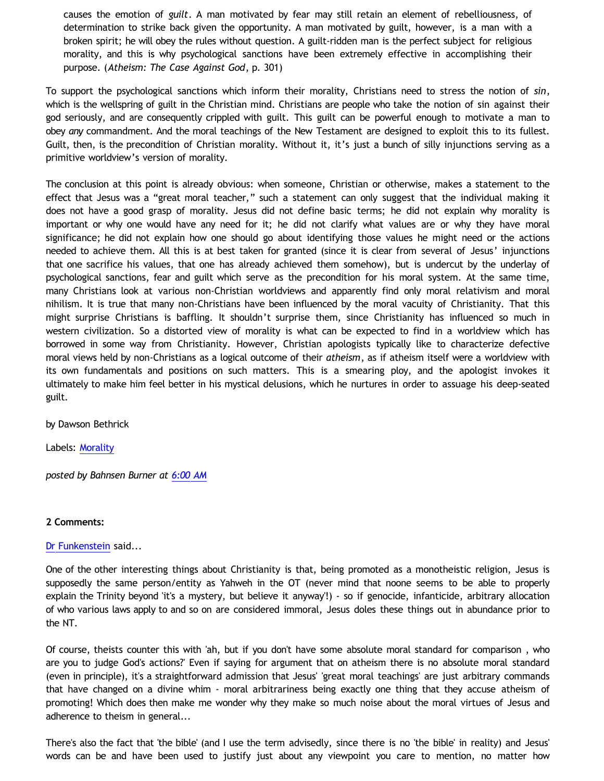causes the emotion of *guilt*. A man motivated by fear may still retain an element of rebelliousness, of determination to strike back given the opportunity. A man motivated by guilt, however, is a man with a broken spirit; he will obey the rules without question. A guilt-ridden man is the perfect subject for religious morality, and this is why psychological sanctions have been extremely effective in accomplishing their purpose. (*Atheism: The Case Against God*, p. 301)

To support the psychological sanctions which inform their morality, Christians need to stress the notion of *sin*, which is the wellspring of guilt in the Christian mind. Christians are people who take the notion of sin against their god seriously, and are consequently crippled with guilt. This guilt can be powerful enough to motivate a man to obey *any* commandment. And the moral teachings of the New Testament are designed to exploit this to its fullest. Guilt, then, is the precondition of Christian morality. Without it, it's just a bunch of silly injunctions serving as a primitive worldview's version of morality.

The conclusion at this point is already obvious: when someone, Christian or otherwise, makes a statement to the effect that Jesus was a "great moral teacher," such a statement can only suggest that the individual making it does not have a good grasp of morality. Jesus did not define basic terms; he did not explain why morality is important or why one would have any need for it; he did not clarify what values are or why they have moral significance; he did not explain how one should go about identifying those values he might need or the actions needed to achieve them. All this is at best taken for granted (since it is clear from several of Jesus' injunctions that one sacrifice his values, that one has already achieved them somehow), but is undercut by the underlay of psychological sanctions, fear and guilt which serve as the precondition for his moral system. At the same time, many Christians look at various non-Christian worldviews and apparently find only moral relativism and moral nihilism. It is true that many non-Christians have been influenced by the moral vacuity of Christianity. That this might surprise Christians is baffling. It shouldn't surprise them, since Christianity has influenced so much in western civilization. So a distorted view of morality is what can be expected to find in a worldview which has borrowed in some way from Christianity. However, Christian apologists typically like to characterize defective moral views held by non-Christians as a logical outcome of their *atheism*, as if atheism itself were a worldview with its own fundamentals and positions on such matters. This is a smearing ploy, and the apologist invokes it ultimately to make him feel better in his mystical delusions, which he nurtures in order to assuage his deep-seated guilt.

by Dawson Bethrick

Labels: [Morality](http://bahnsenburner.blogspot.com/search/label/Morality)

*posted by Bahnsen Burner at [6:00 AM](http://bahnsenburner.blogspot.com/2009/04/was-jesus-great-moral-teacher.html)*

## **2 Comments:**

## [Dr Funkenstein](http://www.blogger.com/profile/03620894198842461714) said...

One of the other interesting things about Christianity is that, being promoted as a monotheistic religion, Jesus is supposedly the same person/entity as Yahweh in the OT (never mind that noone seems to be able to properly explain the Trinity beyond 'it's a mystery, but believe it anyway'!) - so if genocide, infanticide, arbitrary allocation of who various laws apply to and so on are considered immoral, Jesus doles these things out in abundance prior to the NT.

Of course, theists counter this with 'ah, but if you don't have some absolute moral standard for comparison , who are you to judge God's actions?' Even if saying for argument that on atheism there is no absolute moral standard (even in principle), it's a straightforward admission that Jesus' 'great moral teachings' are just arbitrary commands that have changed on a divine whim - moral arbitrariness being exactly one thing that they accuse atheism of promoting! Which does then make me wonder why they make so much noise about the moral virtues of Jesus and adherence to theism in general...

There's also the fact that 'the bible' (and I use the term advisedly, since there is no 'the bible' in reality) and Jesus' words can be and have been used to justify just about any viewpoint you care to mention, no matter how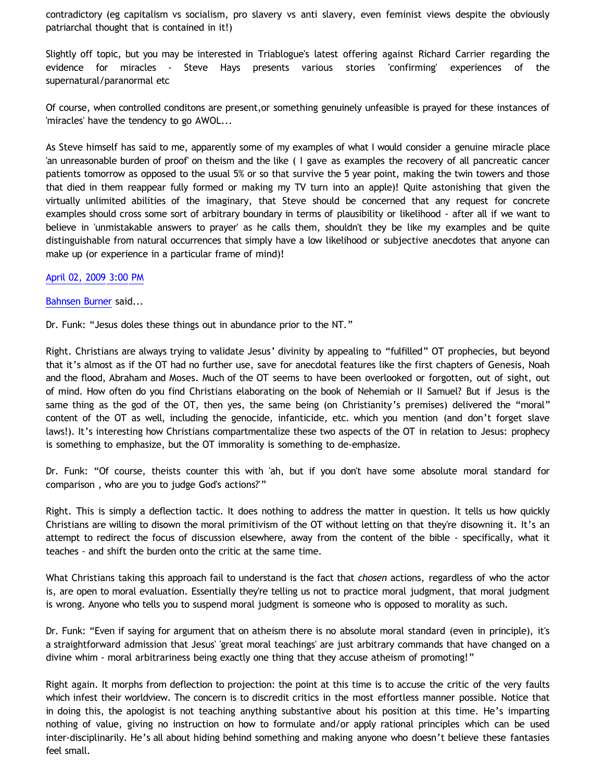contradictory (eg capitalism vs socialism, pro slavery vs anti slavery, even feminist views despite the obviously patriarchal thought that is contained in it!)

Slightly off topic, but you may be interested in Triablogue's latest offering against Richard Carrier regarding the evidence for miracles - Steve Hays presents various stories 'confirming' experiences of the supernatural/paranormal etc

Of course, when controlled conditons are present,or something genuinely unfeasible is prayed for these instances of 'miracles' have the tendency to go AWOL...

As Steve himself has said to me, apparently some of my examples of what I would consider a genuine miracle place 'an unreasonable burden of proof' on theism and the like ( I gave as examples the recovery of all pancreatic cancer patients tomorrow as opposed to the usual 5% or so that survive the 5 year point, making the twin towers and those that died in them reappear fully formed or making my TV turn into an apple)! Quite astonishing that given the virtually unlimited abilities of the imaginary, that Steve should be concerned that any request for concrete examples should cross some sort of arbitrary boundary in terms of plausibility or likelihood - after all if we want to believe in 'unmistakable answers to prayer' as he calls them, shouldn't they be like my examples and be quite distinguishable from natural occurrences that simply have a low likelihood or subjective anecdotes that anyone can make up (or experience in a particular frame of mind)!

[April 02, 2009 3:00 PM](http://bahnsenburner.blogspot.com/2009/04/4760416781178241967)

[Bahnsen Burner](http://www.blogger.com/profile/11030029491768748360) said...

Dr. Funk: "Jesus doles these things out in abundance prior to the NT."

Right. Christians are always trying to validate Jesus' divinity by appealing to "fulfilled" OT prophecies, but beyond that it's almost as if the OT had no further use, save for anecdotal features like the first chapters of Genesis, Noah and the flood, Abraham and Moses. Much of the OT seems to have been overlooked or forgotten, out of sight, out of mind. How often do you find Christians elaborating on the book of Nehemiah or II Samuel? But if Jesus is the same thing as the god of the OT, then yes, the same being (on Christianity's premises) delivered the "moral" content of the OT as well, including the genocide, infanticide, etc. which you mention (and don't forget slave laws!). It's interesting how Christians compartmentalize these two aspects of the OT in relation to Jesus: prophecy is something to emphasize, but the OT immorality is something to de-emphasize.

Dr. Funk: "Of course, theists counter this with 'ah, but if you don't have some absolute moral standard for comparison , who are you to judge God's actions?'"

Right. This is simply a deflection tactic. It does nothing to address the matter in question. It tells us how quickly Christians are willing to disown the moral primitivism of the OT without letting on that they're disowning it. It's an attempt to redirect the focus of discussion elsewhere, away from the content of the bible - specifically, what it teaches - and shift the burden onto the critic at the same time.

What Christians taking this approach fail to understand is the fact that *chosen* actions, regardless of who the actor is, are open to moral evaluation. Essentially they're telling us not to practice moral judgment, that moral judgment is wrong. Anyone who tells you to suspend moral judgment is someone who is opposed to morality as such.

Dr. Funk: "Even if saying for argument that on atheism there is no absolute moral standard (even in principle), it's a straightforward admission that Jesus' 'great moral teachings' are just arbitrary commands that have changed on a divine whim - moral arbitrariness being exactly one thing that they accuse atheism of promoting!"

Right again. It morphs from deflection to projection: the point at this time is to accuse the critic of the very faults which infest their worldview. The concern is to discredit critics in the most effortless manner possible. Notice that in doing this, the apologist is not teaching anything substantive about his position at this time. He's imparting nothing of value, giving no instruction on how to formulate and/or apply rational principles which can be used inter-disciplinarily. He's all about hiding behind something and making anyone who doesn't believe these fantasies feel small.